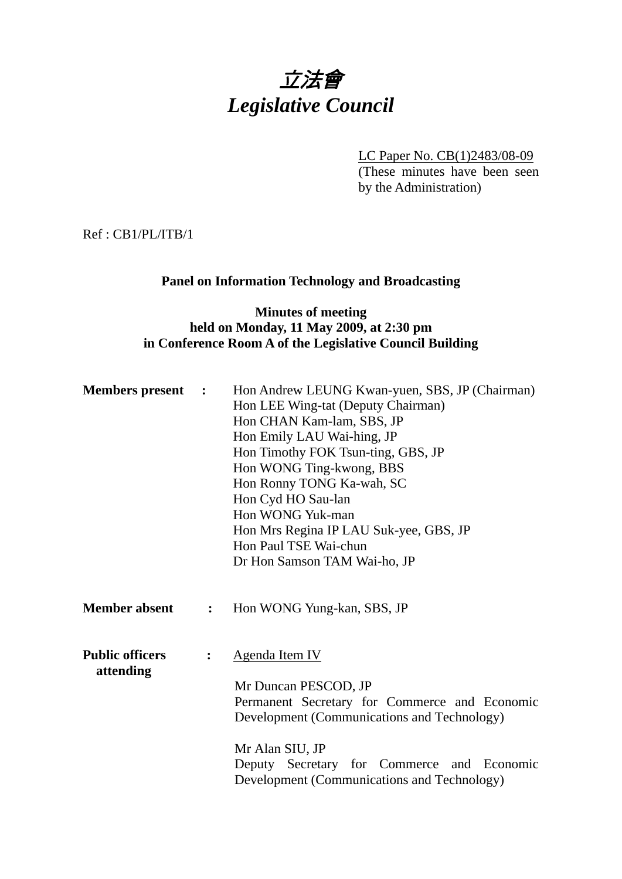

LC Paper No. CB(1)2483/08-09 (These minutes have been seen by the Administration)

Ref : CB1/PL/ITB/1

### **Panel on Information Technology and Broadcasting**

#### **Minutes of meeting held on Monday, 11 May 2009, at 2:30 pm in Conference Room A of the Legislative Council Building**

| <b>Members present :</b>                 |                | Hon Andrew LEUNG Kwan-yuen, SBS, JP (Chairman)<br>Hon LEE Wing-tat (Deputy Chairman)<br>Hon CHAN Kam-lam, SBS, JP<br>Hon Emily LAU Wai-hing, JP<br>Hon Timothy FOK Tsun-ting, GBS, JP<br>Hon WONG Ting-kwong, BBS<br>Hon Ronny TONG Ka-wah, SC<br>Hon Cyd HO Sau-lan<br>Hon WONG Yuk-man<br>Hon Mrs Regina IP LAU Suk-yee, GBS, JP<br>Hon Paul TSE Wai-chun |  |  |
|------------------------------------------|----------------|-------------------------------------------------------------------------------------------------------------------------------------------------------------------------------------------------------------------------------------------------------------------------------------------------------------------------------------------------------------|--|--|
|                                          |                | Dr Hon Samson TAM Wai-ho, JP                                                                                                                                                                                                                                                                                                                                |  |  |
| <b>Member absent</b>                     | $\ddot{\cdot}$ | Hon WONG Yung-kan, SBS, JP                                                                                                                                                                                                                                                                                                                                  |  |  |
| <b>Public officers</b><br>$\ddot{\cdot}$ |                | Agenda Item IV                                                                                                                                                                                                                                                                                                                                              |  |  |
| attending                                |                | Mr Duncan PESCOD, JP<br>Permanent Secretary for Commerce and Economic<br>Development (Communications and Technology)<br>Mr Alan SIU, JP<br>Deputy Secretary for Commerce and Economic<br>Development (Communications and Technology)                                                                                                                        |  |  |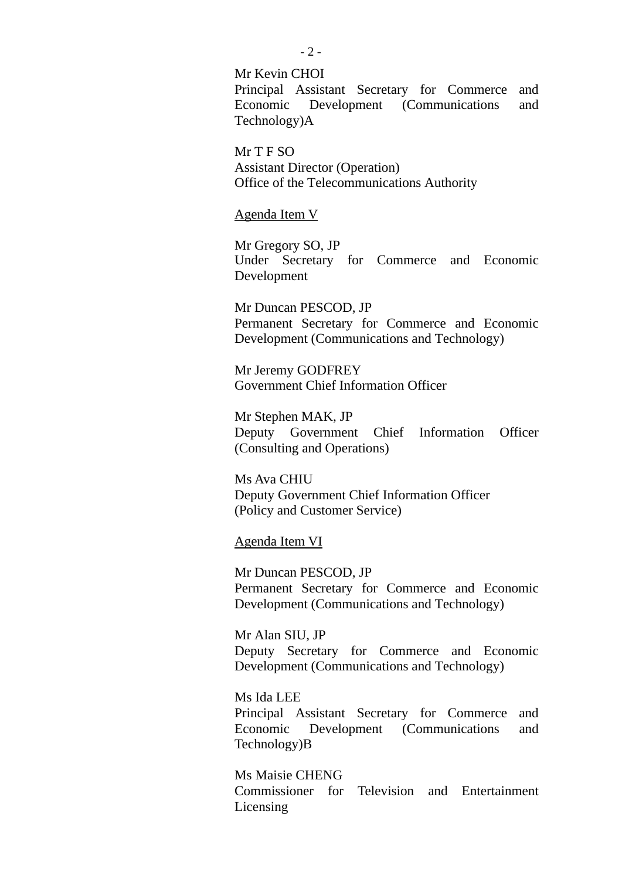Mr Kevin CHOI Principal Assistant Secretary for Commerce and Economic Development (Communications and Technology)A

Mr T F SO Assistant Director (Operation) Office of the Telecommunications Authority

Agenda Item V

Mr Gregory SO, JP Under Secretary for Commerce and Economic Development

Mr Duncan PESCOD, JP Permanent Secretary for Commerce and Economic Development (Communications and Technology)

Mr Jeremy GODFREY Government Chief Information Officer

Mr Stephen MAK, JP Deputy Government Chief Information Officer (Consulting and Operations)

Ms Ava CHIU Deputy Government Chief Information Officer (Policy and Customer Service)

Agenda Item VI

Mr Duncan PESCOD, JP Permanent Secretary for Commerce and Economic Development (Communications and Technology)

Mr Alan SIU, JP Deputy Secretary for Commerce and Economic Development (Communications and Technology)

Ms Ida LEE Principal Assistant Secretary for Commerce and Economic Development (Communications and Technology)B

Ms Maisie CHENG Commissioner for Television and Entertainment Licensing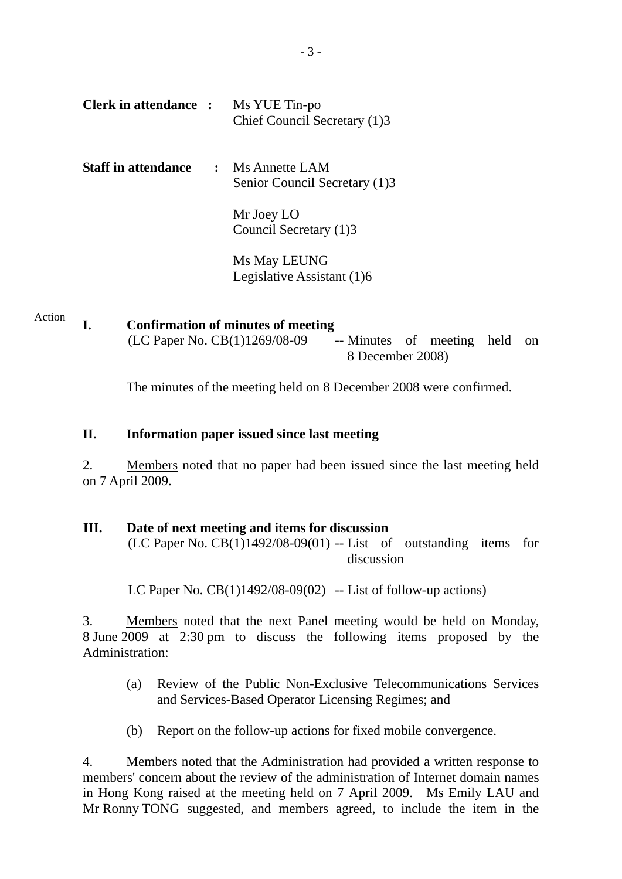| <b>Clerk in attendance :</b> | Ms YUE Tin-po<br>Chief Council Secretary (1)3       |
|------------------------------|-----------------------------------------------------|
| <b>Staff in attendance</b>   | $:$ Ms Annette LAM<br>Senior Council Secretary (1)3 |
|                              | Mr Joey LO<br>Council Secretary (1)3                |
|                              | Ms May LEUNG<br>Legislative Assistant (1)6          |

**I. Confirmation of minutes of meeting**   $(LC$  Paper No.  $CB(1)1269/08-09$  -- Minutes of meeting held on 8 December 2008) Action

The minutes of the meeting held on 8 December 2008 were confirmed.

#### **II. Information paper issued since last meeting**

2. Members noted that no paper had been issued since the last meeting held on 7 April 2009.

#### **III. Date of next meeting and items for discussion**  $(LC$  Paper No.  $CB(1)1492/08-09(01)$  -- List of outstanding items for discussion

LC Paper No.  $CB(1)1492/08-09(02)$  -- List of follow-up actions)

3. Members noted that the next Panel meeting would be held on Monday, 8 June 2009 at 2:30 pm to discuss the following items proposed by the Administration:

- (a) Review of the Public Non-Exclusive Telecommunications Services and Services-Based Operator Licensing Regimes; and
- (b) Report on the follow-up actions for fixed mobile convergence.

4. Members noted that the Administration had provided a written response to members' concern about the review of the administration of Internet domain names in Hong Kong raised at the meeting held on 7 April 2009. Ms Emily LAU and Mr Ronny TONG suggested, and members agreed, to include the item in the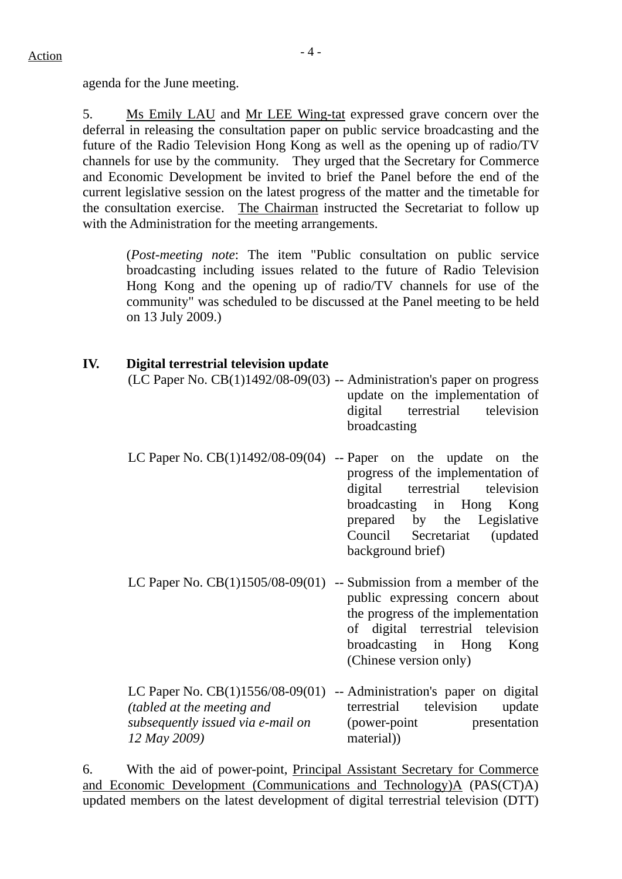agenda for the June meeting.

5. Ms Emily LAU and Mr LEE Wing-tat expressed grave concern over the deferral in releasing the consultation paper on public service broadcasting and the future of the Radio Television Hong Kong as well as the opening up of radio/TV channels for use by the community. They urged that the Secretary for Commerce and Economic Development be invited to brief the Panel before the end of the current legislative session on the latest progress of the matter and the timetable for the consultation exercise. The Chairman instructed the Secretariat to follow up with the Administration for the meeting arrangements.

(*Post-meeting note*: The item "Public consultation on public service broadcasting including issues related to the future of Radio Television Hong Kong and the opening up of radio/TV channels for use of the community" was scheduled to be discussed at the Panel meeting to be held on 13 July 2009.)

| IV. | Digital terrestrial television update                                                    | (LC Paper No. $CB(1)1492/08-09(03)$ -- Administration's paper on progress<br>update on the implementation of<br>digital terrestrial television<br>broadcasting                                                                                              |
|-----|------------------------------------------------------------------------------------------|-------------------------------------------------------------------------------------------------------------------------------------------------------------------------------------------------------------------------------------------------------------|
|     |                                                                                          | LC Paper No. $CB(1)1492/08-09(04)$ -- Paper on the update on the<br>progress of the implementation of<br>terrestrial television<br>digital<br>broadcasting in Hong Kong<br>prepared by the Legislative<br>Council Secretariat (updated<br>background brief) |
|     |                                                                                          | LC Paper No. $CB(1)1505/08-09(01)$ -- Submission from a member of the<br>public expressing concern about<br>the progress of the implementation<br>of digital terrestrial television<br>broadcasting in Hong Kong<br>(Chinese version only)                  |
|     | <i>(tabled at the meeting and</i> )<br>subsequently issued via e-mail on<br>12 May 2009) | LC Paper No. CB(1)1556/08-09(01) -- Administration's paper on digital<br>terrestrial television<br>update<br>presentation<br>(power-point)<br>material)                                                                                                     |

6. With the aid of power-point, Principal Assistant Secretary for Commerce and Economic Development (Communications and Technology)A (PAS(CT)A) updated members on the latest development of digital terrestrial television (DTT)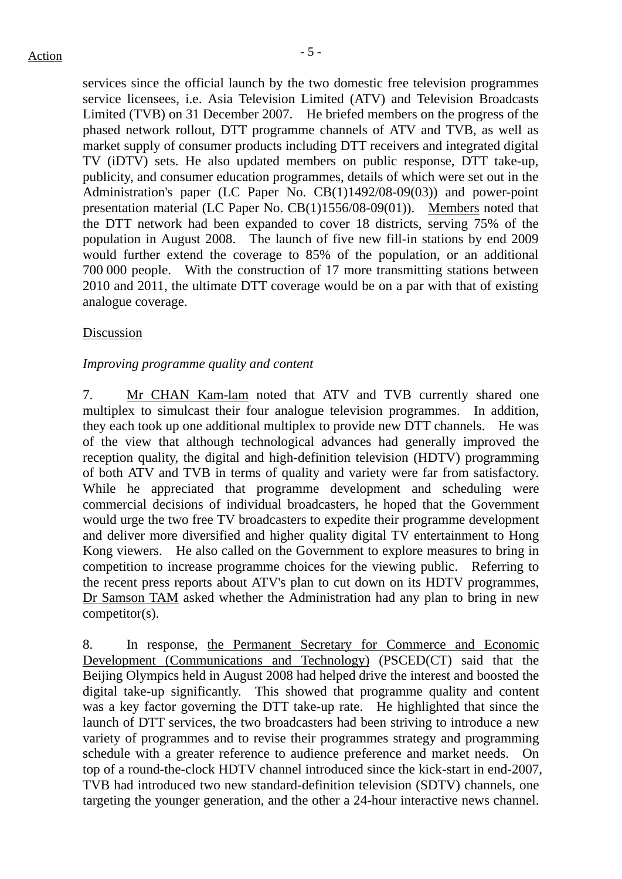services since the official launch by the two domestic free television programmes service licensees, i.e. Asia Television Limited (ATV) and Television Broadcasts Limited (TVB) on 31 December 2007. He briefed members on the progress of the phased network rollout, DTT programme channels of ATV and TVB, as well as market supply of consumer products including DTT receivers and integrated digital TV (iDTV) sets. He also updated members on public response, DTT take-up, publicity, and consumer education programmes, details of which were set out in the Administration's paper (LC Paper No. CB(1)1492/08-09(03)) and power-point presentation material (LC Paper No. CB(1)1556/08-09(01)). Members noted that the DTT network had been expanded to cover 18 districts, serving 75% of the population in August 2008. The launch of five new fill-in stations by end 2009 would further extend the coverage to 85% of the population, or an additional 700 000 people. With the construction of 17 more transmitting stations between 2010 and 2011, the ultimate DTT coverage would be on a par with that of existing analogue coverage.

#### Discussion

#### *Improving programme quality and content*

7. Mr CHAN Kam-lam noted that ATV and TVB currently shared one multiplex to simulcast their four analogue television programmes. In addition, they each took up one additional multiplex to provide new DTT channels. He was of the view that although technological advances had generally improved the reception quality, the digital and high-definition television (HDTV) programming of both ATV and TVB in terms of quality and variety were far from satisfactory. While he appreciated that programme development and scheduling were commercial decisions of individual broadcasters, he hoped that the Government would urge the two free TV broadcasters to expedite their programme development and deliver more diversified and higher quality digital TV entertainment to Hong Kong viewers. He also called on the Government to explore measures to bring in competition to increase programme choices for the viewing public. Referring to the recent press reports about ATV's plan to cut down on its HDTV programmes, Dr Samson TAM asked whether the Administration had any plan to bring in new competitor(s).

8. In response, the Permanent Secretary for Commerce and Economic Development (Communications and Technology) (PSCED(CT) said that the Beijing Olympics held in August 2008 had helped drive the interest and boosted the digital take-up significantly. This showed that programme quality and content was a key factor governing the DTT take-up rate. He highlighted that since the launch of DTT services, the two broadcasters had been striving to introduce a new variety of programmes and to revise their programmes strategy and programming schedule with a greater reference to audience preference and market needs. On top of a round-the-clock HDTV channel introduced since the kick-start in end-2007, TVB had introduced two new standard-definition television (SDTV) channels, one targeting the younger generation, and the other a 24-hour interactive news channel.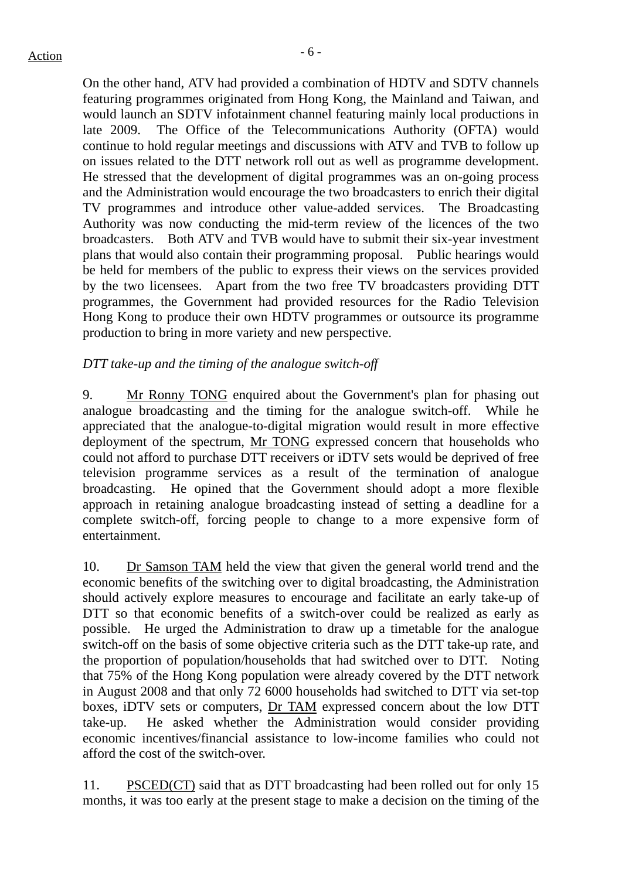On the other hand, ATV had provided a combination of HDTV and SDTV channels featuring programmes originated from Hong Kong, the Mainland and Taiwan, and would launch an SDTV infotainment channel featuring mainly local productions in late 2009. The Office of the Telecommunications Authority (OFTA) would continue to hold regular meetings and discussions with ATV and TVB to follow up on issues related to the DTT network roll out as well as programme development. He stressed that the development of digital programmes was an on-going process and the Administration would encourage the two broadcasters to enrich their digital TV programmes and introduce other value-added services. The Broadcasting Authority was now conducting the mid-term review of the licences of the two broadcasters. Both ATV and TVB would have to submit their six-year investment plans that would also contain their programming proposal. Public hearings would be held for members of the public to express their views on the services provided by the two licensees. Apart from the two free TV broadcasters providing DTT programmes, the Government had provided resources for the Radio Television Hong Kong to produce their own HDTV programmes or outsource its programme production to bring in more variety and new perspective.

#### *DTT take-up and the timing of the analogue switch-off*

9. Mr Ronny TONG enquired about the Government's plan for phasing out analogue broadcasting and the timing for the analogue switch-off. While he appreciated that the analogue-to-digital migration would result in more effective deployment of the spectrum, Mr TONG expressed concern that households who could not afford to purchase DTT receivers or iDTV sets would be deprived of free television programme services as a result of the termination of analogue broadcasting. He opined that the Government should adopt a more flexible approach in retaining analogue broadcasting instead of setting a deadline for a complete switch-off, forcing people to change to a more expensive form of entertainment.

10. Dr Samson TAM held the view that given the general world trend and the economic benefits of the switching over to digital broadcasting, the Administration should actively explore measures to encourage and facilitate an early take-up of DTT so that economic benefits of a switch-over could be realized as early as possible. He urged the Administration to draw up a timetable for the analogue switch-off on the basis of some objective criteria such as the DTT take-up rate, and the proportion of population/households that had switched over to DTT. Noting that 75% of the Hong Kong population were already covered by the DTT network in August 2008 and that only 72 6000 households had switched to DTT via set-top boxes, iDTV sets or computers, Dr TAM expressed concern about the low DTT take-up. He asked whether the Administration would consider providing economic incentives/financial assistance to low-income families who could not afford the cost of the switch-over.

11. PSCED(CT) said that as DTT broadcasting had been rolled out for only 15 months, it was too early at the present stage to make a decision on the timing of the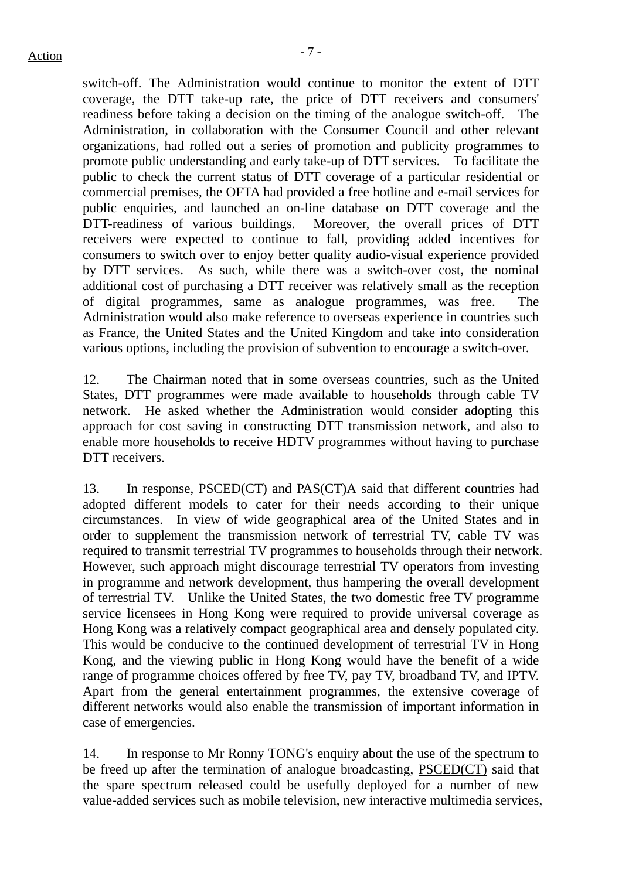switch-off. The Administration would continue to monitor the extent of DTT coverage, the DTT take-up rate, the price of DTT receivers and consumers' readiness before taking a decision on the timing of the analogue switch-off. The Administration, in collaboration with the Consumer Council and other relevant organizations, had rolled out a series of promotion and publicity programmes to promote public understanding and early take-up of DTT services. To facilitate the public to check the current status of DTT coverage of a particular residential or commercial premises, the OFTA had provided a free hotline and e-mail services for public enquiries, and launched an on-line database on DTT coverage and the DTT-readiness of various buildings. Moreover, the overall prices of DTT receivers were expected to continue to fall, providing added incentives for consumers to switch over to enjoy better quality audio-visual experience provided by DTT services. As such, while there was a switch-over cost, the nominal additional cost of purchasing a DTT receiver was relatively small as the reception of digital programmes, same as analogue programmes, was free. The Administration would also make reference to overseas experience in countries such as France, the United States and the United Kingdom and take into consideration various options, including the provision of subvention to encourage a switch-over.

12. The Chairman noted that in some overseas countries, such as the United States, DTT programmes were made available to households through cable TV network. He asked whether the Administration would consider adopting this approach for cost saving in constructing DTT transmission network, and also to enable more households to receive HDTV programmes without having to purchase DTT receivers.

13. In response, PSCED(CT) and PAS(CT)A said that different countries had adopted different models to cater for their needs according to their unique circumstances. In view of wide geographical area of the United States and in order to supplement the transmission network of terrestrial TV, cable TV was required to transmit terrestrial TV programmes to households through their network. However, such approach might discourage terrestrial TV operators from investing in programme and network development, thus hampering the overall development of terrestrial TV. Unlike the United States, the two domestic free TV programme service licensees in Hong Kong were required to provide universal coverage as Hong Kong was a relatively compact geographical area and densely populated city. This would be conducive to the continued development of terrestrial TV in Hong Kong, and the viewing public in Hong Kong would have the benefit of a wide range of programme choices offered by free TV, pay TV, broadband TV, and IPTV. Apart from the general entertainment programmes, the extensive coverage of different networks would also enable the transmission of important information in case of emergencies.

14. In response to Mr Ronny TONG's enquiry about the use of the spectrum to be freed up after the termination of analogue broadcasting, PSCED(CT) said that the spare spectrum released could be usefully deployed for a number of new value-added services such as mobile television, new interactive multimedia services,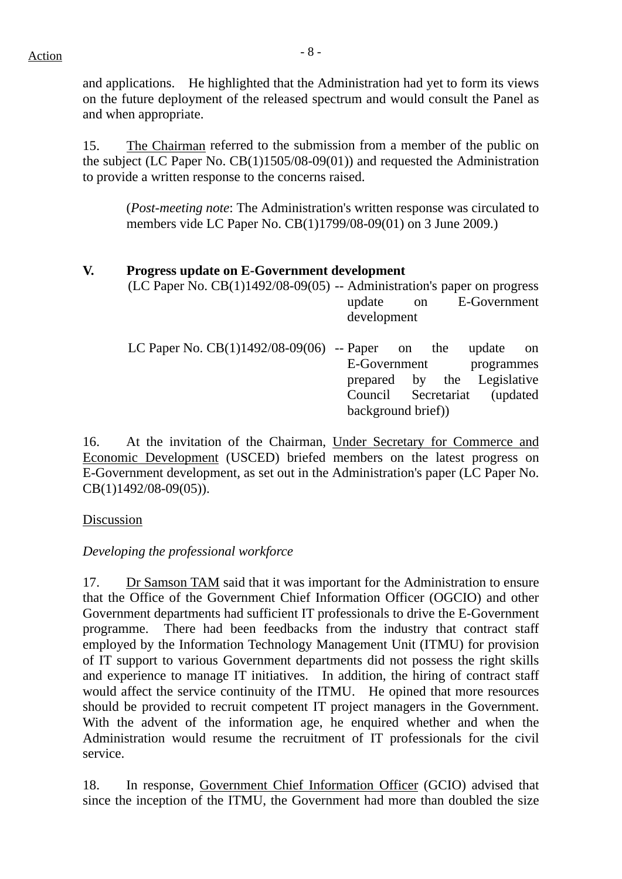and applications. He highlighted that the Administration had yet to form its views on the future deployment of the released spectrum and would consult the Panel as and when appropriate.

15. The Chairman referred to the submission from a member of the public on the subject (LC Paper No. CB(1)1505/08-09(01)) and requested the Administration to provide a written response to the concerns raised.

(*Post-meeting note*: The Administration's written response was circulated to members vide LC Paper No. CB(1)1799/08-09(01) on 3 June 2009.)

## **V. Progress update on E-Government development**

16. At the invitation of the Chairman, Under Secretary for Commerce and Economic Development (USCED) briefed members on the latest progress on E-Government development, as set out in the Administration's paper (LC Paper No. CB(1)1492/08-09(05)).

Discussion

# *Developing the professional workforce*

17. Dr Samson TAM said that it was important for the Administration to ensure that the Office of the Government Chief Information Officer (OGCIO) and other Government departments had sufficient IT professionals to drive the E-Government programme. There had been feedbacks from the industry that contract staff employed by the Information Technology Management Unit (ITMU) for provision of IT support to various Government departments did not possess the right skills and experience to manage IT initiatives. In addition, the hiring of contract staff would affect the service continuity of the ITMU. He opined that more resources should be provided to recruit competent IT project managers in the Government. With the advent of the information age, he enquired whether and when the Administration would resume the recruitment of IT professionals for the civil service.

18. In response, Government Chief Information Officer (GCIO) advised that since the inception of the ITMU, the Government had more than doubled the size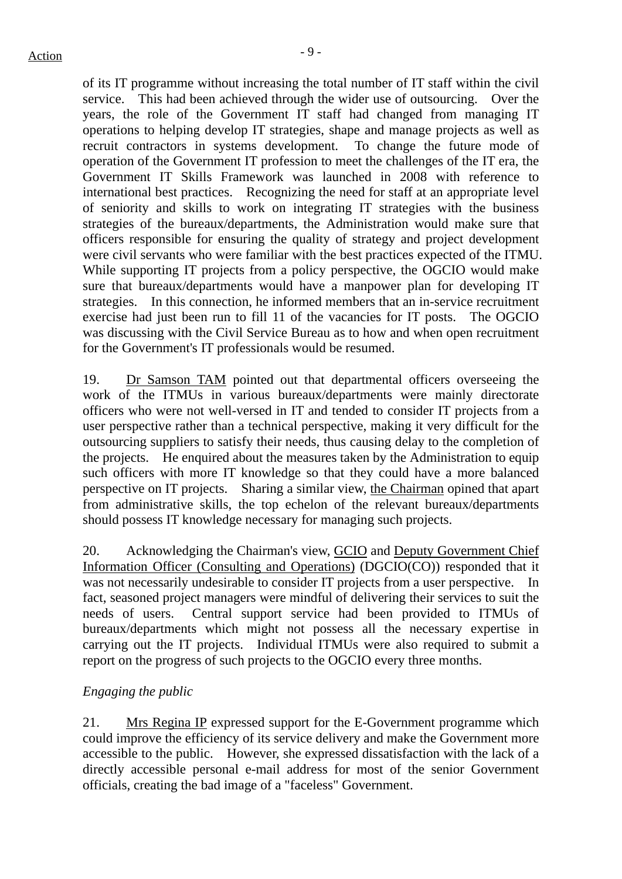of its IT programme without increasing the total number of IT staff within the civil service. This had been achieved through the wider use of outsourcing. Over the years, the role of the Government IT staff had changed from managing IT operations to helping develop IT strategies, shape and manage projects as well as recruit contractors in systems development. To change the future mode of operation of the Government IT profession to meet the challenges of the IT era, the Government IT Skills Framework was launched in 2008 with reference to international best practices. Recognizing the need for staff at an appropriate level of seniority and skills to work on integrating IT strategies with the business strategies of the bureaux/departments, the Administration would make sure that officers responsible for ensuring the quality of strategy and project development were civil servants who were familiar with the best practices expected of the ITMU. While supporting IT projects from a policy perspective, the OGCIO would make sure that bureaux/departments would have a manpower plan for developing IT strategies. In this connection, he informed members that an in-service recruitment exercise had just been run to fill 11 of the vacancies for IT posts. The OGCIO was discussing with the Civil Service Bureau as to how and when open recruitment for the Government's IT professionals would be resumed.

19. Dr Samson TAM pointed out that departmental officers overseeing the work of the ITMUs in various bureaux/departments were mainly directorate officers who were not well-versed in IT and tended to consider IT projects from a user perspective rather than a technical perspective, making it very difficult for the outsourcing suppliers to satisfy their needs, thus causing delay to the completion of the projects. He enquired about the measures taken by the Administration to equip such officers with more IT knowledge so that they could have a more balanced perspective on IT projects. Sharing a similar view, the Chairman opined that apart from administrative skills, the top echelon of the relevant bureaux/departments should possess IT knowledge necessary for managing such projects.

20. Acknowledging the Chairman's view, GCIO and Deputy Government Chief Information Officer (Consulting and Operations) (DGCIO(CO)) responded that it was not necessarily undesirable to consider IT projects from a user perspective. In fact, seasoned project managers were mindful of delivering their services to suit the needs of users. Central support service had been provided to ITMUs of bureaux/departments which might not possess all the necessary expertise in carrying out the IT projects. Individual ITMUs were also required to submit a report on the progress of such projects to the OGCIO every three months.

#### *Engaging the public*

21. Mrs Regina IP expressed support for the E-Government programme which could improve the efficiency of its service delivery and make the Government more accessible to the public. However, she expressed dissatisfaction with the lack of a directly accessible personal e-mail address for most of the senior Government officials, creating the bad image of a "faceless" Government.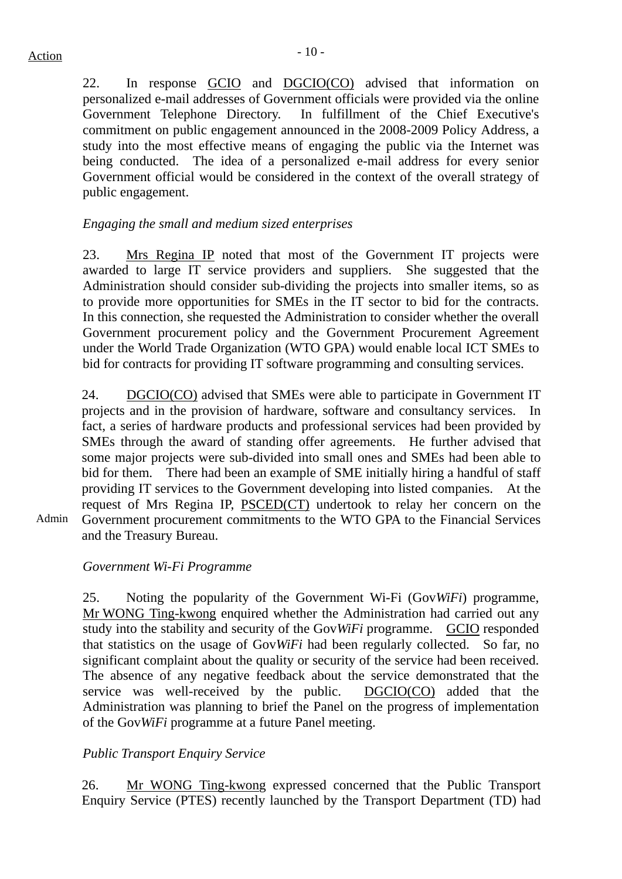Admin

22. In response GCIO and DGCIO(CO) advised that information on personalized e-mail addresses of Government officials were provided via the online Government Telephone Directory. In fulfillment of the Chief Executive's commitment on public engagement announced in the 2008-2009 Policy Address, a study into the most effective means of engaging the public via the Internet was being conducted. The idea of a personalized e-mail address for every senior Government official would be considered in the context of the overall strategy of public engagement.

## *Engaging the small and medium sized enterprises*

23. Mrs Regina IP noted that most of the Government IT projects were awarded to large IT service providers and suppliers. She suggested that the Administration should consider sub-dividing the projects into smaller items, so as to provide more opportunities for SMEs in the IT sector to bid for the contracts. In this connection, she requested the Administration to consider whether the overall Government procurement policy and the Government Procurement Agreement under the World Trade Organization (WTO GPA) would enable local ICT SMEs to bid for contracts for providing IT software programming and consulting services.

24. DGCIO(CO) advised that SMEs were able to participate in Government IT projects and in the provision of hardware, software and consultancy services. In fact, a series of hardware products and professional services had been provided by SMEs through the award of standing offer agreements. He further advised that some major projects were sub-divided into small ones and SMEs had been able to bid for them. There had been an example of SME initially hiring a handful of staff providing IT services to the Government developing into listed companies. At the request of Mrs Regina IP, PSCED(CT) undertook to relay her concern on the Government procurement commitments to the WTO GPA to the Financial Services and the Treasury Bureau.

# *Government Wi-Fi Programme*

25. Noting the popularity of the Government Wi-Fi (Gov*WiFi*) programme, Mr WONG Ting-kwong enquired whether the Administration had carried out any study into the stability and security of the Gov*WiFi* programme. GCIO responded that statistics on the usage of Gov*WiFi* had been regularly collected. So far, no significant complaint about the quality or security of the service had been received. The absence of any negative feedback about the service demonstrated that the service was well-received by the public. DGCIO(CO) added that the Administration was planning to brief the Panel on the progress of implementation of the Gov*WiFi* programme at a future Panel meeting.

# *Public Transport Enquiry Service*

26. Mr WONG Ting-kwong expressed concerned that the Public Transport Enquiry Service (PTES) recently launched by the Transport Department (TD) had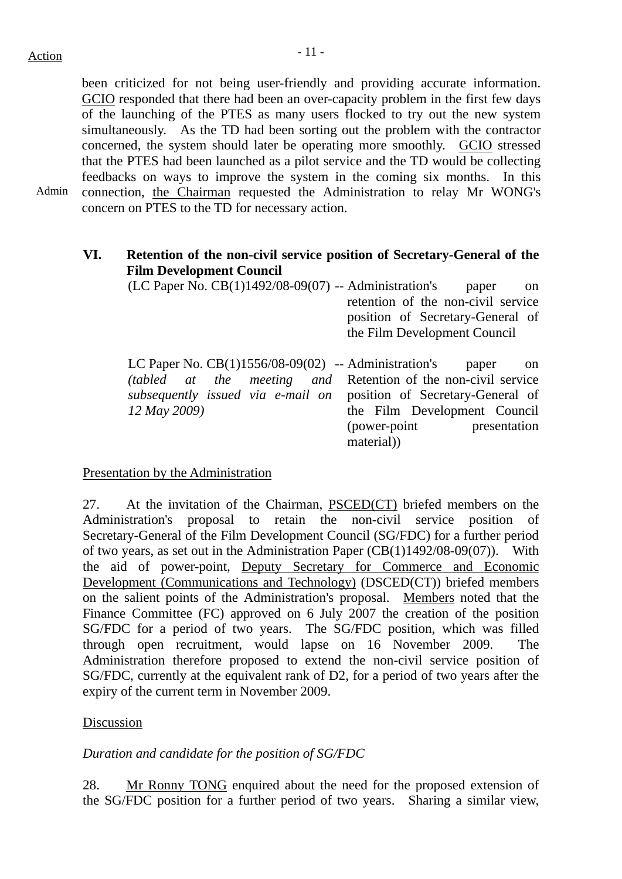been criticized for not being user-friendly and providing accurate information. GCIO responded that there had been an over-capacity problem in the first few days of the launching of the PTES as many users flocked to try out the new system simultaneously. As the TD had been sorting out the problem with the contractor concerned, the system should later be operating more smoothly. GCIO stressed that the PTES had been launched as a pilot service and the TD would be collecting feedbacks on ways to improve the system in the coming six months. In this connection, the Chairman requested the Administration to relay Mr WONG's concern on PTES to the TD for necessary action.

Admin

# **VI. Retention of the non-civil service position of Secretary-General of the Film Development Council**

| $(LC$ Paper No. $CB(1)1492/08-09(07)$ -- Administration's                                                                                                                                                            | paper<br><sub>on</sub><br>retention of the non-civil service<br>position of Secretary-General of<br>the Film Development Council |
|----------------------------------------------------------------------------------------------------------------------------------------------------------------------------------------------------------------------|----------------------------------------------------------------------------------------------------------------------------------|
| LC Paper No. $CB(1)1556/08-09(02)$ -- Administration's<br><i>(tabled at the meeting and</i> Retention of the non-civil service<br>subsequently issued via e-mail on position of Secretary-General of<br>12 May 2009) | paper<br><sub>on</sub><br>the Film Development Council<br>(power-point presentation<br>material)                                 |

#### Presentation by the Administration

27. At the invitation of the Chairman, PSCED(CT) briefed members on the Administration's proposal to retain the non-civil service position of Secretary-General of the Film Development Council (SG/FDC) for a further period of two years, as set out in the Administration Paper (CB(1)1492/08-09(07)). With the aid of power-point, Deputy Secretary for Commerce and Economic Development (Communications and Technology) (DSCED(CT)) briefed members on the salient points of the Administration's proposal. Members noted that the Finance Committee (FC) approved on 6 July 2007 the creation of the position SG/FDC for a period of two years. The SG/FDC position, which was filled through open recruitment, would lapse on 16 November 2009. The Administration therefore proposed to extend the non-civil service position of SG/FDC, currently at the equivalent rank of D2, for a period of two years after the expiry of the current term in November 2009.

#### Discussion

#### *Duration and candidate for the position of SG/FDC*

28. Mr Ronny TONG enquired about the need for the proposed extension of the SG/FDC position for a further period of two years. Sharing a similar view,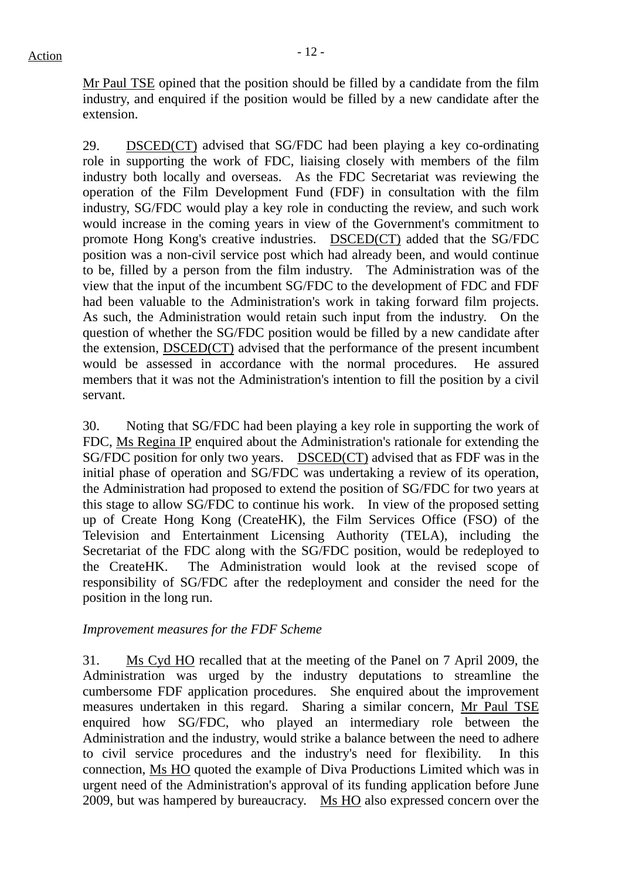Mr Paul TSE opined that the position should be filled by a candidate from the film industry, and enquired if the position would be filled by a new candidate after the extension.

29. DSCED(CT) advised that SG/FDC had been playing a key co-ordinating role in supporting the work of FDC, liaising closely with members of the film industry both locally and overseas. As the FDC Secretariat was reviewing the operation of the Film Development Fund (FDF) in consultation with the film industry, SG/FDC would play a key role in conducting the review, and such work would increase in the coming years in view of the Government's commitment to promote Hong Kong's creative industries. DSCED(CT) added that the SG/FDC position was a non-civil service post which had already been, and would continue to be, filled by a person from the film industry. The Administration was of the view that the input of the incumbent SG/FDC to the development of FDC and FDF had been valuable to the Administration's work in taking forward film projects. As such, the Administration would retain such input from the industry. On the question of whether the SG/FDC position would be filled by a new candidate after the extension, DSCED(CT) advised that the performance of the present incumbent would be assessed in accordance with the normal procedures. He assured members that it was not the Administration's intention to fill the position by a civil servant.

30. Noting that SG/FDC had been playing a key role in supporting the work of FDC, Ms Regina IP enquired about the Administration's rationale for extending the SG/FDC position for only two years. DSCED(CT) advised that as FDF was in the initial phase of operation and SG/FDC was undertaking a review of its operation, the Administration had proposed to extend the position of SG/FDC for two years at this stage to allow SG/FDC to continue his work. In view of the proposed setting up of Create Hong Kong (CreateHK), the Film Services Office (FSO) of the Television and Entertainment Licensing Authority (TELA), including the Secretariat of the FDC along with the SG/FDC position, would be redeployed to the CreateHK. The Administration would look at the revised scope of responsibility of SG/FDC after the redeployment and consider the need for the position in the long run.

#### *Improvement measures for the FDF Scheme*

31. Ms Cyd HO recalled that at the meeting of the Panel on 7 April 2009, the Administration was urged by the industry deputations to streamline the cumbersome FDF application procedures. She enquired about the improvement measures undertaken in this regard. Sharing a similar concern, Mr Paul TSE enquired how SG/FDC, who played an intermediary role between the Administration and the industry, would strike a balance between the need to adhere to civil service procedures and the industry's need for flexibility. In this connection, Ms HO quoted the example of Diva Productions Limited which was in urgent need of the Administration's approval of its funding application before June 2009, but was hampered by bureaucracy. Ms HO also expressed concern over the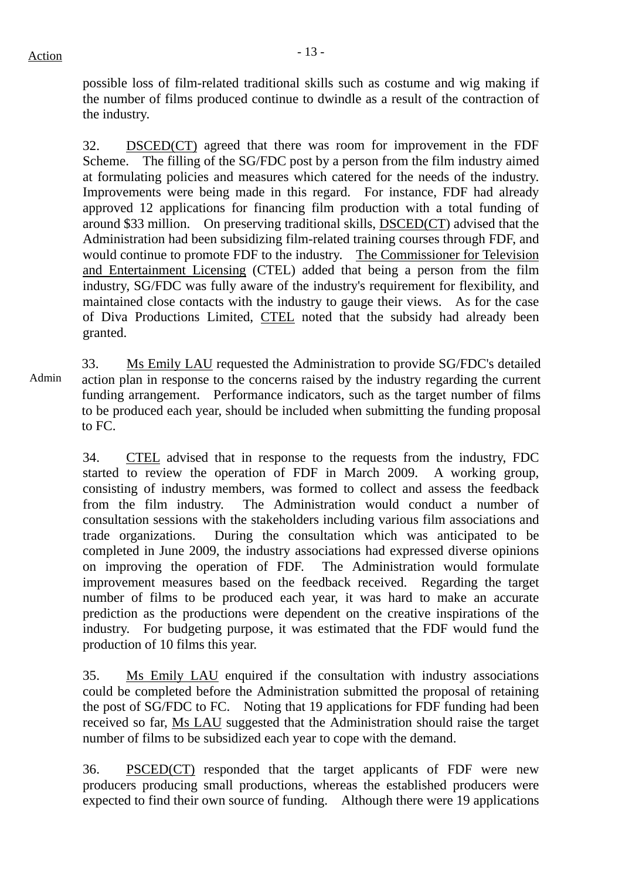possible loss of film-related traditional skills such as costume and wig making if the number of films produced continue to dwindle as a result of the contraction of the industry.

32. DSCED(CT) agreed that there was room for improvement in the FDF Scheme. The filling of the SG/FDC post by a person from the film industry aimed at formulating policies and measures which catered for the needs of the industry. Improvements were being made in this regard. For instance, FDF had already approved 12 applications for financing film production with a total funding of around \$33 million. On preserving traditional skills, DSCED(CT) advised that the Administration had been subsidizing film-related training courses through FDF, and would continue to promote FDF to the industry. The Commissioner for Television and Entertainment Licensing (CTEL) added that being a person from the film industry, SG/FDC was fully aware of the industry's requirement for flexibility, and maintained close contacts with the industry to gauge their views. As for the case of Diva Productions Limited, CTEL noted that the subsidy had already been granted.

Admin 33. Ms Emily LAU requested the Administration to provide SG/FDC's detailed action plan in response to the concerns raised by the industry regarding the current funding arrangement. Performance indicators, such as the target number of films to be produced each year, should be included when submitting the funding proposal to FC.

> 34. CTEL advised that in response to the requests from the industry, FDC started to review the operation of FDF in March 2009. A working group, consisting of industry members, was formed to collect and assess the feedback from the film industry. The Administration would conduct a number of consultation sessions with the stakeholders including various film associations and trade organizations. During the consultation which was anticipated to be completed in June 2009, the industry associations had expressed diverse opinions on improving the operation of FDF. The Administration would formulate improvement measures based on the feedback received. Regarding the target number of films to be produced each year, it was hard to make an accurate prediction as the productions were dependent on the creative inspirations of the industry. For budgeting purpose, it was estimated that the FDF would fund the production of 10 films this year.

> 35. Ms Emily LAU enquired if the consultation with industry associations could be completed before the Administration submitted the proposal of retaining the post of SG/FDC to FC. Noting that 19 applications for FDF funding had been received so far, Ms LAU suggested that the Administration should raise the target number of films to be subsidized each year to cope with the demand.

> 36. PSCED(CT) responded that the target applicants of FDF were new producers producing small productions, whereas the established producers were expected to find their own source of funding. Although there were 19 applications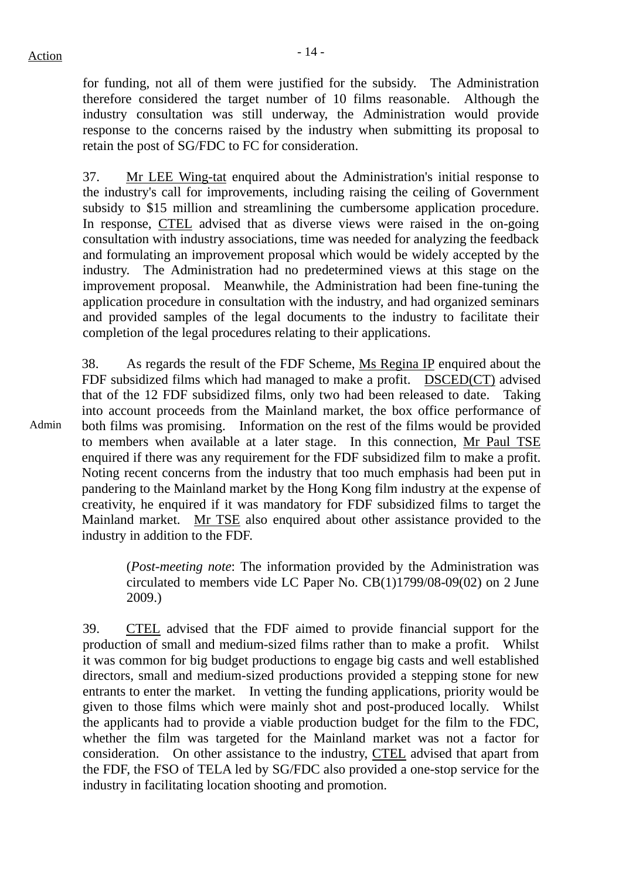Admin

for funding, not all of them were justified for the subsidy. The Administration therefore considered the target number of 10 films reasonable. Although the industry consultation was still underway, the Administration would provide response to the concerns raised by the industry when submitting its proposal to retain the post of SG/FDC to FC for consideration.

37. Mr LEE Wing-tat enquired about the Administration's initial response to the industry's call for improvements, including raising the ceiling of Government subsidy to \$15 million and streamlining the cumbersome application procedure. In response, CTEL advised that as diverse views were raised in the on-going consultation with industry associations, time was needed for analyzing the feedback and formulating an improvement proposal which would be widely accepted by the industry. The Administration had no predetermined views at this stage on the improvement proposal. Meanwhile, the Administration had been fine-tuning the application procedure in consultation with the industry, and had organized seminars and provided samples of the legal documents to the industry to facilitate their completion of the legal procedures relating to their applications.

38. As regards the result of the FDF Scheme, Ms Regina IP enquired about the FDF subsidized films which had managed to make a profit. DSCED(CT) advised that of the 12 FDF subsidized films, only two had been released to date. Taking into account proceeds from the Mainland market, the box office performance of both films was promising. Information on the rest of the films would be provided to members when available at a later stage. In this connection, Mr Paul TSE enquired if there was any requirement for the FDF subsidized film to make a profit. Noting recent concerns from the industry that too much emphasis had been put in pandering to the Mainland market by the Hong Kong film industry at the expense of creativity, he enquired if it was mandatory for FDF subsidized films to target the Mainland market. Mr TSE also enquired about other assistance provided to the industry in addition to the FDF.

> (*Post-meeting note*: The information provided by the Administration was circulated to members vide LC Paper No. CB(1)1799/08-09(02) on 2 June 2009.)

39. CTEL advised that the FDF aimed to provide financial support for the production of small and medium-sized films rather than to make a profit. Whilst it was common for big budget productions to engage big casts and well established directors, small and medium-sized productions provided a stepping stone for new entrants to enter the market. In vetting the funding applications, priority would be given to those films which were mainly shot and post-produced locally. Whilst the applicants had to provide a viable production budget for the film to the FDC, whether the film was targeted for the Mainland market was not a factor for consideration. On other assistance to the industry, CTEL advised that apart from the FDF, the FSO of TELA led by SG/FDC also provided a one-stop service for the industry in facilitating location shooting and promotion.